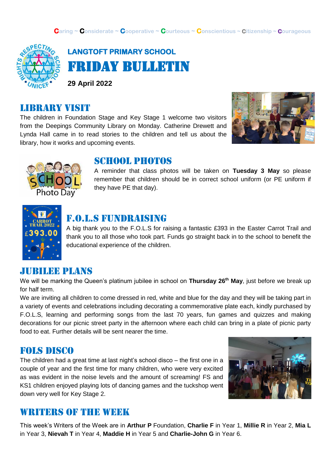

## **LANGTOFT PRIMARY SCHOOL**  Friday Bulletin

**29 April 2022**

#### library visit

The children in Foundation Stage and Key Stage 1 welcome two visitors from the Deepings Community Library on Monday. Catherine Drewett and Lynda Hall came in to read stories to the children and tell us about the library, how it works and upcoming events.





#### SCHOOL PHOTOS

A reminder that class photos will be taken on **Tuesday 3 May** so please remember that children should be in correct school uniform (or PE uniform if they have PE that day).



#### F.o.l.s fundraising

A big thank you to the F.O.L.S for raising a fantastic £393 in the Easter Carrot Trail and thank you to all those who took part. Funds go straight back in to the school to benefit the educational experience of the children.

#### JUBILEE PLANS

We will be marking the Queen's platinum jubilee in school on **Thursday 26th May**, just before we break up for half term.

We are inviting all children to come dressed in red, white and blue for the day and they will be taking part in a variety of events and celebrations including decorating a commemorative plate each, kindly purchased by F.O.L.S, learning and performing songs from the last 70 years, fun games and quizzes and making decorations for our picnic street party in the afternoon where each child can bring in a plate of picnic party food to eat. Further details will be sent nearer the time.

#### Fols disco

The children had a great time at last night's school disco – the first one in a couple of year and the first time for many children, who were very excited as was evident in the noise levels and the amount of screaming! FS and KS1 children enjoyed playing lots of dancing games and the tuckshop went down very well for Key Stage 2.



#### WRITERS OF THE WEEK

This week's Writers of the Week are in **Arthur P** Foundation, **Charlie F** in Year 1, **Millie R** in Year 2, **Mia L** in Year 3, **Nievah T** in Year 4, **Maddie H** in Year 5 and **Charlie-John G** in Year 6.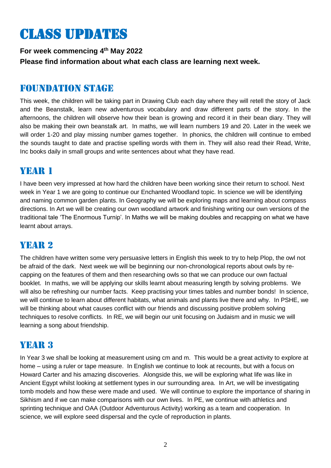# Class updates

**For week commencing 4 th May 2022 Please find information about what each class are learning next week.** 

#### Foundation stage

This week, the children will be taking part in Drawing Club each day where they will retell the story of Jack and the Beanstalk, learn new adventurous vocabulary and draw different parts of the story. In the afternoons, the children will observe how their bean is growing and record it in their bean diary. They will also be making their own beanstalk art. In maths, we will learn numbers 19 and 20. Later in the week we will order 1-20 and play missing number games together. In phonics, the children will continue to embed the sounds taught to date and practise spelling words with them in. They will also read their Read, Write, Inc books daily in small groups and write sentences about what they have read.

## YEAR 1

I have been very impressed at how hard the children have been working since their return to school. Next week in Year 1 we are going to continue our Enchanted Woodland topic. In science we will be identifying and naming common garden plants. In Geography we will be exploring maps and learning about compass directions. In Art we will be creating our own woodland artwork and finishing writing our own versions of the traditional tale 'The Enormous Turnip'. In Maths we will be making doubles and recapping on what we have learnt about arrays.

## YEAR 2

The children have written some very persuasive letters in English this week to try to help Plop, the owl not be afraid of the dark. Next week we will be beginning our non-chronological reports about owls by recapping on the features of them and then researching owls so that we can produce our own factual booklet. In maths, we will be applying our skills learnt about measuring length by solving problems. We will also be refreshing our number facts. Keep practising your times tables and number bonds! In science, we will continue to learn about different habitats, what animals and plants live there and why. In PSHE, we will be thinking about what causes conflict with our friends and discussing positive problem solving techniques to resolve conflicts. In RE, we will begin our unit focusing on Judaism and in music we will learning a song about friendship.

## YEAR 3

In Year 3 we shall be looking at measurement using cm and m. This would be a great activity to explore at home – using a ruler or tape measure. In English we continue to look at recounts, but with a focus on Howard Carter and his amazing discoveries. Alongside this, we will be exploring what life was like in Ancient Egypt whilst looking at settlement types in our surrounding area. In Art, we will be investigating tomb models and how these were made and used. We will continue to explore the importance of sharing in Sikhism and if we can make comparisons with our own lives. In PE, we continue with athletics and sprinting technique and OAA (Outdoor Adventurous Activity) working as a team and cooperation. In science, we will explore seed dispersal and the cycle of reproduction in plants.